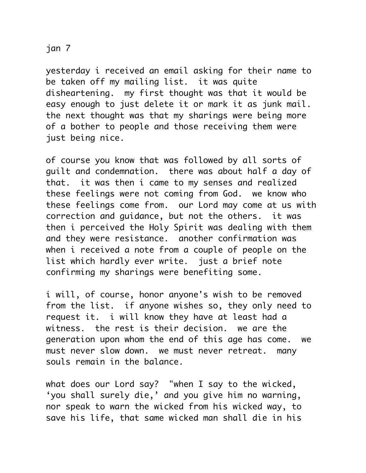## jan 7

yesterday i received an email asking for their name to be taken off my mailing list. it was quite disheartening. my first thought was that it would be easy enough to just delete it or mark it as junk mail. the next thought was that my sharings were being more of a bother to people and those receiving them were just being nice.

of course you know that was followed by all sorts of guilt and condemnation. there was about half a day of that. it was then i came to my senses and realized these feelings were not coming from God. we know who these feelings come from. our Lord may come at us with correction and guidance, but not the others. it was then i perceived the Holy Spirit was dealing with them and they were resistance. another confirmation was when i received a note from a couple of people on the list which hardly ever write. just a brief note confirming my sharings were benefiting some.

i will, of course, honor anyone's wish to be removed from the list. if anyone wishes so, they only need to request it. i will know they have at least had a witness. the rest is their decision. we are the generation upon whom the end of this age has come. we must never slow down. we must never retreat. many souls remain in the balance.

what does our Lord say? "when I say to the wicked, 'you shall surely die,' and you give him no warning, nor speak to warn the wicked from his wicked way, to save his life, that same wicked man shall die in his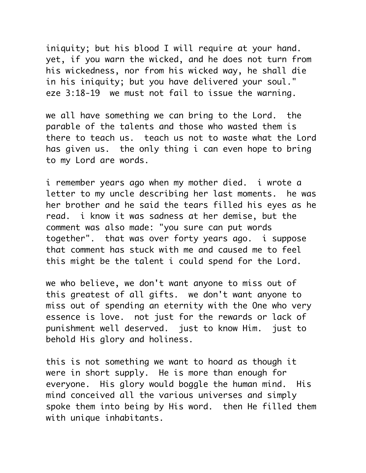iniquity; but his blood I will require at your hand. yet, if you warn the wicked, and he does not turn from his wickedness, nor from his wicked way, he shall die in his iniquity; but you have delivered your soul." eze 3:18-19 we must not fail to issue the warning.

we all have something we can bring to the Lord. the parable of the talents and those who wasted them is there to teach us. teach us not to waste what the Lord has given us. the only thing i can even hope to bring to my Lord are words.

i remember years ago when my mother died. i wrote a letter to my uncle describing her last moments. he was her brother and he said the tears filled his eyes as he read. i know it was sadness at her demise, but the comment was also made: "you sure can put words together". that was over forty years ago. i suppose that comment has stuck with me and caused me to feel this might be the talent i could spend for the Lord.

we who believe, we don't want anyone to miss out of this greatest of all gifts. we don't want anyone to miss out of spending an eternity with the One who very essence is love. not just for the rewards or lack of punishment well deserved. just to know Him. just to behold His glory and holiness.

this is not something we want to hoard as though it were in short supply. He is more than enough for everyone. His glory would boggle the human mind. His mind conceived all the various universes and simply spoke them into being by His word. then He filled them with unique inhabitants.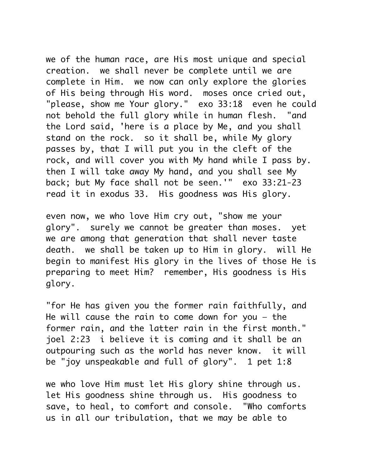we of the human race, are His most unique and special creation. we shall never be complete until we are complete in Him. we now can only explore the glories of His being through His word. moses once cried out, "please, show me Your glory." exo 33:18 even he could not behold the full glory while in human flesh. "and the Lord said, 'here is a place by Me, and you shall stand on the rock. so it shall be, while My glory passes by, that I will put you in the cleft of the rock, and will cover you with My hand while I pass by. then I will take away My hand, and you shall see My back; but My face shall not be seen.'" exo 33:21-23 read it in exodus 33. His goodness was His glory.

even now, we who love Him cry out, "show me your glory". surely we cannot be greater than moses. yet we are among that generation that shall never taste death. we shall be taken up to Him in glory. will He begin to manifest His glory in the lives of those He is preparing to meet Him? remember, His goodness is His glory.

"for He has given you the former rain faithfully, and He will cause the rain to come down for you — the former rain, and the latter rain in the first month." joel 2:23 i believe it is coming and it shall be an outpouring such as the world has never know. it will be "joy unspeakable and full of glory". 1 pet 1:8

we who love Him must let His glory shine through us. let His goodness shine through us. His goodness to save, to heal, to comfort and console. "Who comforts us in all our tribulation, that we may be able to